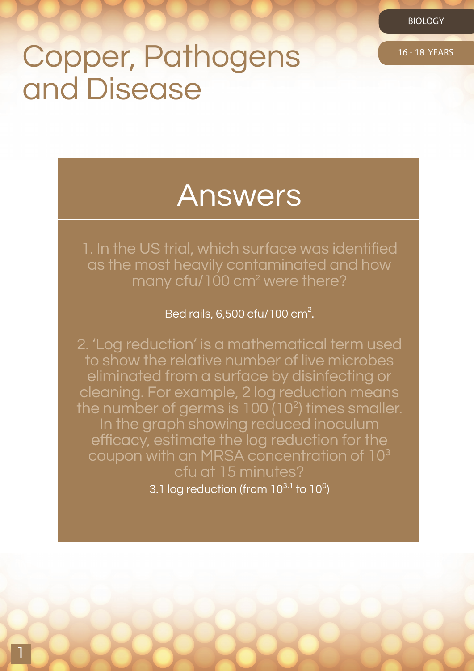## Copper, Pathogens 16-18 YEARS and Disease

## Answers

1. In the US trial, which surface was identified as the most heavily contaminated and how many cfu/100 cm<sup>2</sup> were there?

Bed rails, 6,500 cfu/100 cm<sup>2</sup>.

2. 'Log reduction' is a mathematical term used to show the relative number of live microbes. eliminated from a surface by disinfecting or cleaning. For example, 2 log reduction means the number of germs is  $100(10^2)$  times smaller. In the graph showing reduced inoculum efficacy, estimate the log reduction for the coupon with an MRSA concentration of 103 cfu at 15 minutes?

3.1 log reduction (from  $10^{3.1}$  to  $10^0$ )

1